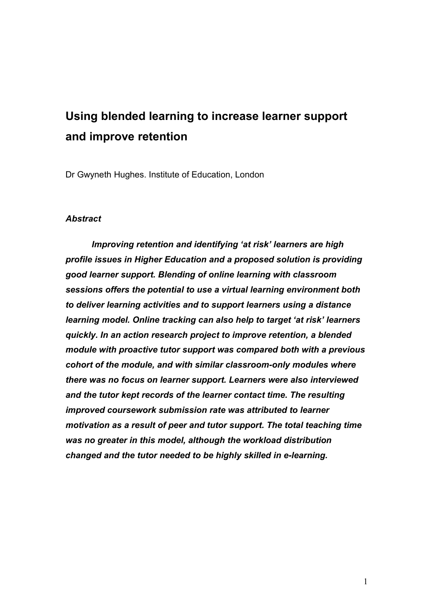# **Using blended learning to increase learner support and improve retention**

Dr Gwyneth Hughes. Institute of Education, London

#### *Abstract*

*Improving retention and identifying 'at risk' learners are high profile issues in Higher Education and a proposed solution is providing good learner support. Blending of online learning with classroom sessions offers the potential to use a virtual learning environment both to deliver learning activities and to support learners using a distance learning model. Online tracking can also help to target 'at risk' learners quickly. In an action research project to improve retention, a blended module with proactive tutor support was compared both with a previous cohort of the module, and with similar classroom-only modules where there was no focus on learner support. Learners were also interviewed and the tutor kept records of the learner contact time. The resulting improved coursework submission rate was attributed to learner motivation as a result of peer and tutor support. The total teaching time was no greater in this model, although the workload distribution changed and the tutor needed to be highly skilled in e-learning.*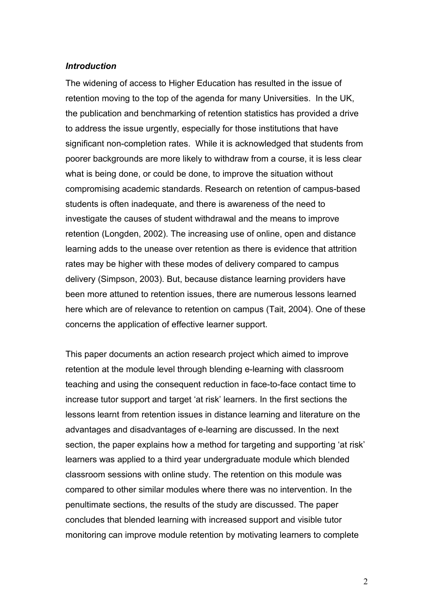#### *Introduction*

The widening of access to Higher Education has resulted in the issue of retention moving to the top of the agenda for many Universities. In the UK, the publication and benchmarking of retention statistics has provided a drive to address the issue urgently, especially for those institutions that have significant non-completion rates. While it is acknowledged that students from poorer backgrounds are more likely to withdraw from a course, it is less clear what is being done, or could be done, to improve the situation without compromising academic standards. Research on retention of campus-based students is often inadequate, and there is awareness of the need to investigate the causes of student withdrawal and the means to improve retention (Longden, 2002). The increasing use of online, open and distance learning adds to the unease over retention as there is evidence that attrition rates may be higher with these modes of delivery compared to campus delivery (Simpson, 2003). But, because distance learning providers have been more attuned to retention issues, there are numerous lessons learned here which are of relevance to retention on campus (Tait, 2004). One of these concerns the application of effective learner support.

This paper documents an action research project which aimed to improve retention at the module level through blending e-learning with classroom teaching and using the consequent reduction in face-to-face contact time to increase tutor support and target 'at risk' learners. In the first sections the lessons learnt from retention issues in distance learning and literature on the advantages and disadvantages of e-learning are discussed. In the next section, the paper explains how a method for targeting and supporting 'at risk' learners was applied to a third year undergraduate module which blended classroom sessions with online study. The retention on this module was compared to other similar modules where there was no intervention. In the penultimate sections, the results of the study are discussed. The paper concludes that blended learning with increased support and visible tutor monitoring can improve module retention by motivating learners to complete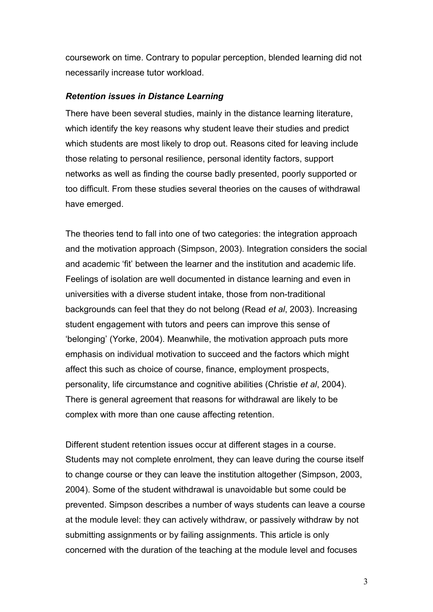coursework on time. Contrary to popular perception, blended learning did not necessarily increase tutor workload.

#### *Retention issues in Distance Learning*

There have been several studies, mainly in the distance learning literature, which identify the key reasons why student leave their studies and predict which students are most likely to drop out. Reasons cited for leaving include those relating to personal resilience, personal identity factors, support networks as well as finding the course badly presented, poorly supported or too difficult. From these studies several theories on the causes of withdrawal have emerged.

The theories tend to fall into one of two categories: the integration approach and the motivation approach (Simpson, 2003). Integration considers the social and academic 'fit' between the learner and the institution and academic life. Feelings of isolation are well documented in distance learning and even in universities with a diverse student intake, those from non-traditional backgrounds can feel that they do not belong (Read *et al*, 2003). Increasing student engagement with tutors and peers can improve this sense of 'belonging' (Yorke, 2004). Meanwhile, the motivation approach puts more emphasis on individual motivation to succeed and the factors which might affect this such as choice of course, finance, employment prospects, personality, life circumstance and cognitive abilities (Christie *et al*, 2004). There is general agreement that reasons for withdrawal are likely to be complex with more than one cause affecting retention.

Different student retention issues occur at different stages in a course. Students may not complete enrolment, they can leave during the course itself to change course or they can leave the institution altogether (Simpson, 2003, 2004). Some of the student withdrawal is unavoidable but some could be prevented. Simpson describes a number of ways students can leave a course at the module level: they can actively withdraw, or passively withdraw by not submitting assignments or by failing assignments. This article is only concerned with the duration of the teaching at the module level and focuses

3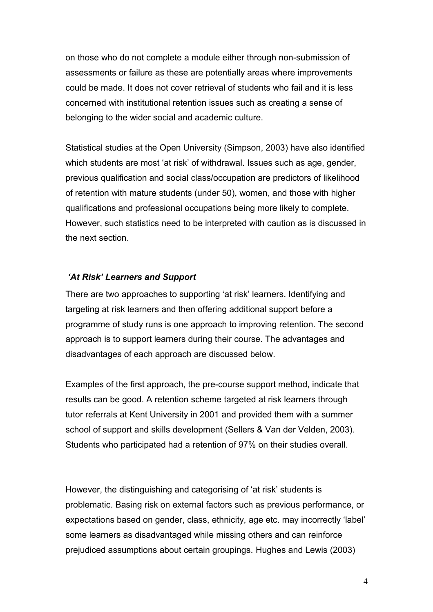on those who do not complete a module either through non-submission of assessments or failure as these are potentially areas where improvements could be made. It does not cover retrieval of students who fail and it is less concerned with institutional retention issues such as creating a sense of belonging to the wider social and academic culture.

Statistical studies at the Open University (Simpson, 2003) have also identified which students are most 'at risk' of withdrawal. Issues such as age, gender, previous qualification and social class/occupation are predictors of likelihood of retention with mature students (under 50), women, and those with higher qualifications and professional occupations being more likely to complete. However, such statistics need to be interpreted with caution as is discussed in the next section.

### *'At Risk' Learners and Support*

There are two approaches to supporting 'at risk' learners. Identifying and targeting at risk learners and then offering additional support before a programme of study runs is one approach to improving retention. The second approach is to support learners during their course. The advantages and disadvantages of each approach are discussed below.

Examples of the first approach, the pre-course support method, indicate that results can be good. A retention scheme targeted at risk learners through tutor referrals at Kent University in 2001 and provided them with a summer school of support and skills development (Sellers & Van der Velden, 2003). Students who participated had a retention of 97% on their studies overall.

However, the distinguishing and categorising of 'at risk' students is problematic. Basing risk on external factors such as previous performance, or expectations based on gender, class, ethnicity, age etc. may incorrectly 'label' some learners as disadvantaged while missing others and can reinforce prejudiced assumptions about certain groupings. Hughes and Lewis (2003)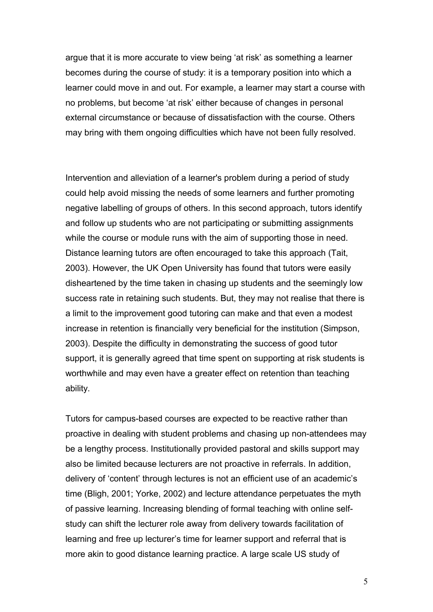argue that it is more accurate to view being 'at risk' as something a learner becomes during the course of study: it is a temporary position into which a learner could move in and out. For example, a learner may start a course with no problems, but become 'at risk' either because of changes in personal external circumstance or because of dissatisfaction with the course. Others may bring with them ongoing difficulties which have not been fully resolved.

Intervention and alleviation of a learner's problem during a period of study could help avoid missing the needs of some learners and further promoting negative labelling of groups of others. In this second approach, tutors identify and follow up students who are not participating or submitting assignments while the course or module runs with the aim of supporting those in need. Distance learning tutors are often encouraged to take this approach (Tait, 2003). However, the UK Open University has found that tutors were easily disheartened by the time taken in chasing up students and the seemingly low success rate in retaining such students. But, they may not realise that there is a limit to the improvement good tutoring can make and that even a modest increase in retention is financially very beneficial for the institution (Simpson, 2003). Despite the difficulty in demonstrating the success of good tutor support, it is generally agreed that time spent on supporting at risk students is worthwhile and may even have a greater effect on retention than teaching ability.

Tutors for campus-based courses are expected to be reactive rather than proactive in dealing with student problems and chasing up non-attendees may be a lengthy process. Institutionally provided pastoral and skills support may also be limited because lecturers are not proactive in referrals. In addition, delivery of 'content' through lectures is not an efficient use of an academic's time (Bligh, 2001; Yorke, 2002) and lecture attendance perpetuates the myth of passive learning. Increasing blending of formal teaching with online selfstudy can shift the lecturer role away from delivery towards facilitation of learning and free up lecturer's time for learner support and referral that is more akin to good distance learning practice. A large scale US study of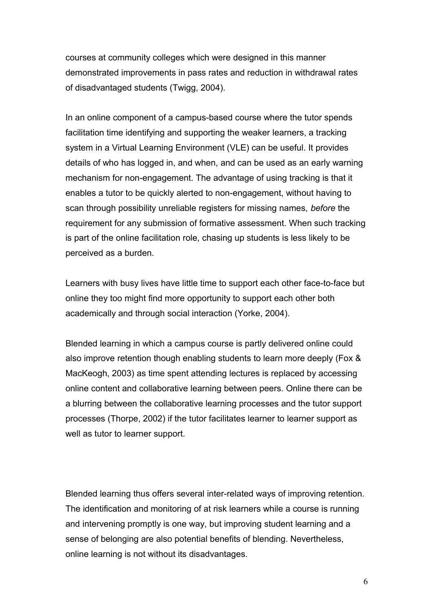courses at community colleges which were designed in this manner demonstrated improvements in pass rates and reduction in withdrawal rates of disadvantaged students (Twigg, 2004).

In an online component of a campus-based course where the tutor spends facilitation time identifying and supporting the weaker learners, a tracking system in a Virtual Learning Environment (VLE) can be useful. It provides details of who has logged in, and when, and can be used as an early warning mechanism for non-engagement. The advantage of using tracking is that it enables a tutor to be quickly alerted to non-engagement, without having to scan through possibility unreliable registers for missing names, *before* the requirement for any submission of formative assessment. When such tracking is part of the online facilitation role, chasing up students is less likely to be perceived as a burden.

Learners with busy lives have little time to support each other face-to-face but online they too might find more opportunity to support each other both academically and through social interaction (Yorke, 2004).

Blended learning in which a campus course is partly delivered online could also improve retention though enabling students to learn more deeply (Fox & MacKeogh, 2003) as time spent attending lectures is replaced by accessing online content and collaborative learning between peers. Online there can be a blurring between the collaborative learning processes and the tutor support processes (Thorpe, 2002) if the tutor facilitates learner to learner support as well as tutor to learner support.

Blended learning thus offers several inter-related ways of improving retention. The identification and monitoring of at risk learners while a course is running and intervening promptly is one way, but improving student learning and a sense of belonging are also potential benefits of blending. Nevertheless, online learning is not without its disadvantages.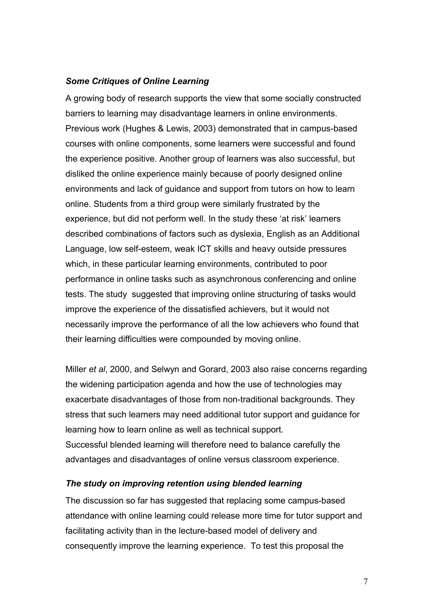### *Some Critiques of Online Learning*

A growing body of research supports the view that some socially constructed barriers to learning may disadvantage learners in online environments. Previous work (Hughes & Lewis, 2003) demonstrated that in campus-based courses with online components, some learners were successful and found the experience positive. Another group of learners was also successful, but disliked the online experience mainly because of poorly designed online environments and lack of guidance and support from tutors on how to learn online. Students from a third group were similarly frustrated by the experience, but did not perform well. In the study these 'at risk' learners described combinations of factors such as dyslexia, English as an Additional Language, low self-esteem, weak ICT skills and heavy outside pressures which, in these particular learning environments, contributed to poor performance in online tasks such as asynchronous conferencing and online tests. The study suggested that improving online structuring of tasks would improve the experience of the dissatisfied achievers, but it would not necessarily improve the performance of all the low achievers who found that their learning difficulties were compounded by moving online.

Miller *et al*, 2000, and Selwyn and Gorard, 2003 also raise concerns regarding the widening participation agenda and how the use of technologies may exacerbate disadvantages of those from non-traditional backgrounds. They stress that such learners may need additional tutor support and guidance for learning how to learn online as well as technical support. Successful blended learning will therefore need to balance carefully the advantages and disadvantages of online versus classroom experience.

### *The study on improving retention using blended learning*

The discussion so far has suggested that replacing some campus-based attendance with online learning could release more time for tutor support and facilitating activity than in the lecture-based model of delivery and consequently improve the learning experience. To test this proposal the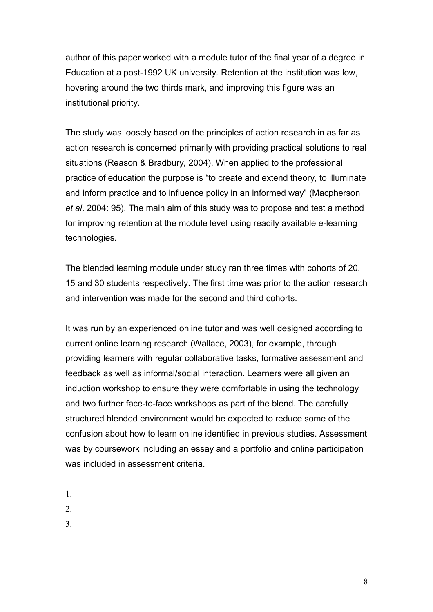author of this paper worked with a module tutor of the final year of a degree in Education at a post-1992 UK university. Retention at the institution was low, hovering around the two thirds mark, and improving this figure was an institutional priority.

The study was loosely based on the principles of action research in as far as action research is concerned primarily with providing practical solutions to real situations (Reason & Bradbury, 2004). When applied to the professional practice of education the purpose is "to create and extend theory, to illuminate and inform practice and to influence policy in an informed way" (Macpherson *et al*. 2004: 95). The main aim of this study was to propose and test a method for improving retention at the module level using readily available e-learning technologies.

The blended learning module under study ran three times with cohorts of 20, 15 and 30 students respectively. The first time was prior to the action research and intervention was made for the second and third cohorts.

It was run by an experienced online tutor and was well designed according to current online learning research (Wallace, 2003), for example, through providing learners with regular collaborative tasks, formative assessment and feedback as well as informal/social interaction. Learners were all given an induction workshop to ensure they were comfortable in using the technology and two further face-to-face workshops as part of the blend. The carefully structured blended environment would be expected to reduce some of the confusion about how to learn online identified in previous studies. Assessment was by coursework including an essay and a portfolio and online participation was included in assessment criteria.

- 1.
- 2.
- 3.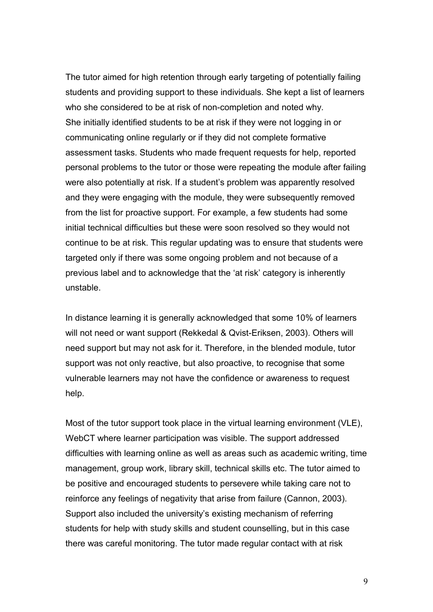The tutor aimed for high retention through early targeting of potentially failing students and providing support to these individuals. She kept a list of learners who she considered to be at risk of non-completion and noted why. She initially identified students to be at risk if they were not logging in or communicating online regularly or if they did not complete formative assessment tasks. Students who made frequent requests for help, reported personal problems to the tutor or those were repeating the module after failing were also potentially at risk. If a student's problem was apparently resolved and they were engaging with the module, they were subsequently removed from the list for proactive support. For example, a few students had some initial technical difficulties but these were soon resolved so they would not continue to be at risk. This regular updating was to ensure that students were targeted only if there was some ongoing problem and not because of a previous label and to acknowledge that the 'at risk' category is inherently unstable.

In distance learning it is generally acknowledged that some 10% of learners will not need or want support (Rekkedal & Qvist-Eriksen, 2003). Others will need support but may not ask for it. Therefore, in the blended module, tutor support was not only reactive, but also proactive, to recognise that some vulnerable learners may not have the confidence or awareness to request help.

Most of the tutor support took place in the virtual learning environment (VLE), WebCT where learner participation was visible. The support addressed difficulties with learning online as well as areas such as academic writing, time management, group work, library skill, technical skills etc. The tutor aimed to be positive and encouraged students to persevere while taking care not to reinforce any feelings of negativity that arise from failure (Cannon, 2003). Support also included the university's existing mechanism of referring students for help with study skills and student counselling, but in this case there was careful monitoring. The tutor made regular contact with at risk

9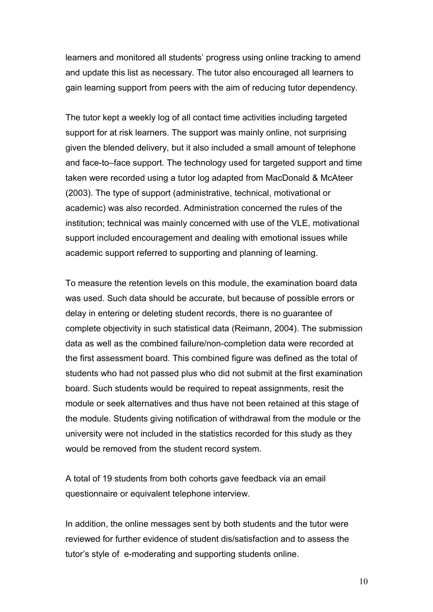learners and monitored all students' progress using online tracking to amend and update this list as necessary. The tutor also encouraged all learners to gain learning support from peers with the aim of reducing tutor dependency.

The tutor kept a weekly log of all contact time activities including targeted support for at risk learners. The support was mainly online, not surprising given the blended delivery, but it also included a small amount of telephone and face-to–face support. The technology used for targeted support and time taken were recorded using a tutor log adapted from MacDonald & McAteer (2003). The type of support (administrative, technical, motivational or academic) was also recorded. Administration concerned the rules of the institution; technical was mainly concerned with use of the VLE, motivational support included encouragement and dealing with emotional issues while academic support referred to supporting and planning of learning.

To measure the retention levels on this module, the examination board data was used. Such data should be accurate, but because of possible errors or delay in entering or deleting student records, there is no guarantee of complete objectivity in such statistical data (Reimann, 2004). The submission data as well as the combined failure/non-completion data were recorded at the first assessment board. This combined figure was defined as the total of students who had not passed plus who did not submit at the first examination board. Such students would be required to repeat assignments, resit the module or seek alternatives and thus have not been retained at this stage of the module. Students giving notification of withdrawal from the module or the university were not included in the statistics recorded for this study as they would be removed from the student record system.

A total of 19 students from both cohorts gave feedback via an email questionnaire or equivalent telephone interview.

In addition, the online messages sent by both students and the tutor were reviewed for further evidence of student dis/satisfaction and to assess the tutor's style of e-moderating and supporting students online.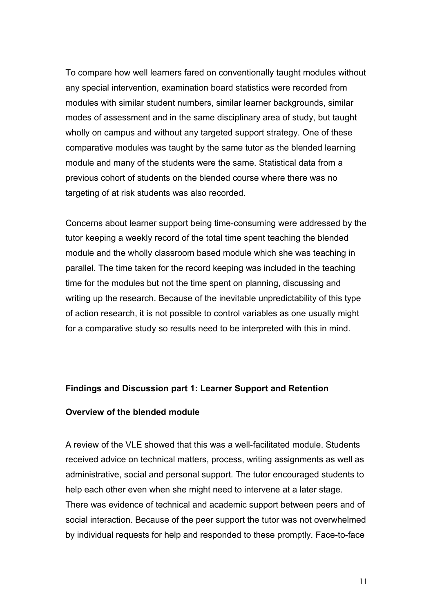To compare how well learners fared on conventionally taught modules without any special intervention, examination board statistics were recorded from modules with similar student numbers, similar learner backgrounds, similar modes of assessment and in the same disciplinary area of study, but taught wholly on campus and without any targeted support strategy. One of these comparative modules was taught by the same tutor as the blended learning module and many of the students were the same. Statistical data from a previous cohort of students on the blended course where there was no targeting of at risk students was also recorded.

Concerns about learner support being time-consuming were addressed by the tutor keeping a weekly record of the total time spent teaching the blended module and the wholly classroom based module which she was teaching in parallel. The time taken for the record keeping was included in the teaching time for the modules but not the time spent on planning, discussing and writing up the research. Because of the inevitable unpredictability of this type of action research, it is not possible to control variables as one usually might for a comparative study so results need to be interpreted with this in mind.

#### **Findings and Discussion part 1: Learner Support and Retention**

### **Overview of the blended module**

A review of the VLE showed that this was a well-facilitated module. Students received advice on technical matters, process, writing assignments as well as administrative, social and personal support. The tutor encouraged students to help each other even when she might need to intervene at a later stage. There was evidence of technical and academic support between peers and of social interaction. Because of the peer support the tutor was not overwhelmed by individual requests for help and responded to these promptly. Face-to-face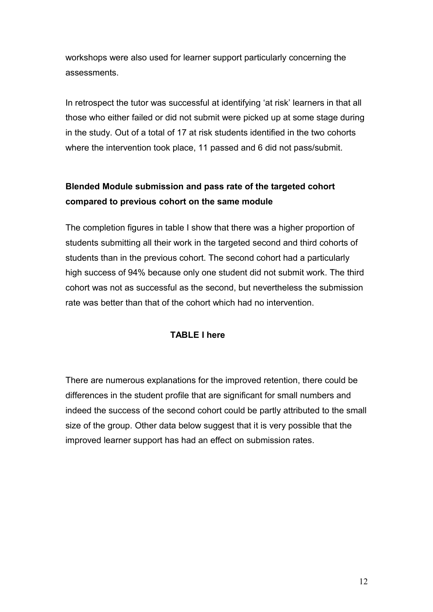workshops were also used for learner support particularly concerning the assessments.

In retrospect the tutor was successful at identifying 'at risk' learners in that all those who either failed or did not submit were picked up at some stage during in the study. Out of a total of 17 at risk students identified in the two cohorts where the intervention took place, 11 passed and 6 did not pass/submit.

# **Blended Module submission and pass rate of the targeted cohort compared to previous cohort on the same module**

The completion figures in table I show that there was a higher proportion of students submitting all their work in the targeted second and third cohorts of students than in the previous cohort. The second cohort had a particularly high success of 94% because only one student did not submit work. The third cohort was not as successful as the second, but nevertheless the submission rate was better than that of the cohort which had no intervention.

# **TABLE I here**

There are numerous explanations for the improved retention, there could be differences in the student profile that are significant for small numbers and indeed the success of the second cohort could be partly attributed to the small size of the group. Other data below suggest that it is very possible that the improved learner support has had an effect on submission rates.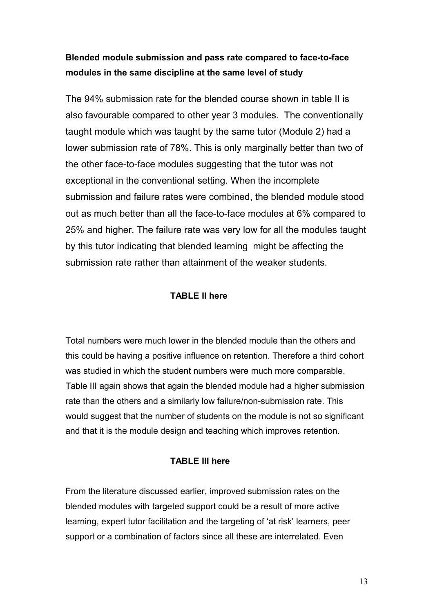# **Blended module submission and pass rate compared to face-to-face modules in the same discipline at the same level of study**

The 94% submission rate for the blended course shown in table II is also favourable compared to other year 3 modules. The conventionally taught module which was taught by the same tutor (Module 2) had a lower submission rate of 78%. This is only marginally better than two of the other face-to-face modules suggesting that the tutor was not exceptional in the conventional setting. When the incomplete submission and failure rates were combined, the blended module stood out as much better than all the face-to-face modules at 6% compared to 25% and higher. The failure rate was very low for all the modules taught by this tutor indicating that blended learning might be affecting the submission rate rather than attainment of the weaker students.

## **TABLE II here**

Total numbers were much lower in the blended module than the others and this could be having a positive influence on retention. Therefore a third cohort was studied in which the student numbers were much more comparable. Table III again shows that again the blended module had a higher submission rate than the others and a similarly low failure/non-submission rate. This would suggest that the number of students on the module is not so significant and that it is the module design and teaching which improves retention.

# **TABLE III here**

From the literature discussed earlier, improved submission rates on the blended modules with targeted support could be a result of more active learning, expert tutor facilitation and the targeting of 'at risk' learners, peer support or a combination of factors since all these are interrelated. Even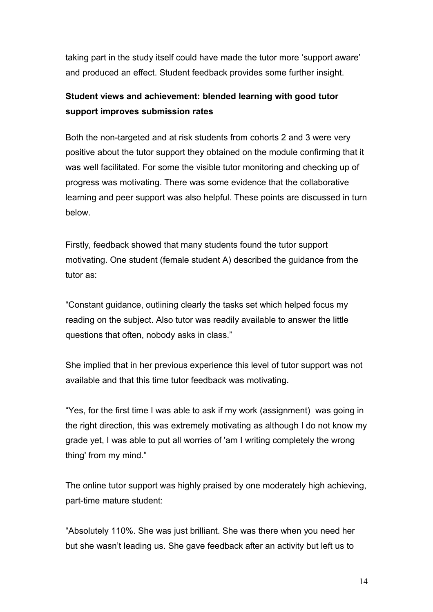taking part in the study itself could have made the tutor more 'support aware' and produced an effect. Student feedback provides some further insight.

# **Student views and achievement: blended learning with good tutor support improves submission rates**

Both the non-targeted and at risk students from cohorts 2 and 3 were very positive about the tutor support they obtained on the module confirming that it was well facilitated. For some the visible tutor monitoring and checking up of progress was motivating. There was some evidence that the collaborative learning and peer support was also helpful. These points are discussed in turn below.

Firstly, feedback showed that many students found the tutor support motivating. One student (female student A) described the guidance from the tutor as:

"Constant guidance, outlining clearly the tasks set which helped focus my reading on the subject. Also tutor was readily available to answer the little questions that often, nobody asks in class."

She implied that in her previous experience this level of tutor support was not available and that this time tutor feedback was motivating.

"Yes, for the first time I was able to ask if my work (assignment) was going in the right direction, this was extremely motivating as although I do not know my grade yet, I was able to put all worries of 'am I writing completely the wrong thing' from my mind."

The online tutor support was highly praised by one moderately high achieving, part-time mature student:

"Absolutely 110%. She was just brilliant. She was there when you need her but she wasn't leading us. She gave feedback after an activity but left us to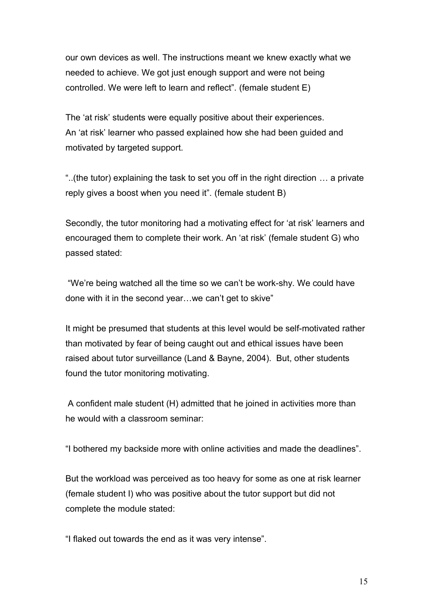our own devices as well. The instructions meant we knew exactly what we needed to achieve. We got just enough support and were not being controlled. We were left to learn and reflect". (female student E)

The 'at risk' students were equally positive about their experiences. An 'at risk' learner who passed explained how she had been guided and motivated by targeted support.

"..(the tutor) explaining the task to set you off in the right direction … a private reply gives a boost when you need it". (female student B)

Secondly, the tutor monitoring had a motivating effect for 'at risk' learners and encouraged them to complete their work. An 'at risk' (female student G) who passed stated:

 "We're being watched all the time so we can't be work-shy. We could have done with it in the second year…we can't get to skive"

It might be presumed that students at this level would be self-motivated rather than motivated by fear of being caught out and ethical issues have been raised about tutor surveillance (Land & Bayne, 2004). But, other students found the tutor monitoring motivating.

 A confident male student (H) admitted that he joined in activities more than he would with a classroom seminar:

"I bothered my backside more with online activities and made the deadlines".

But the workload was perceived as too heavy for some as one at risk learner (female student I) who was positive about the tutor support but did not complete the module stated:

"I flaked out towards the end as it was very intense".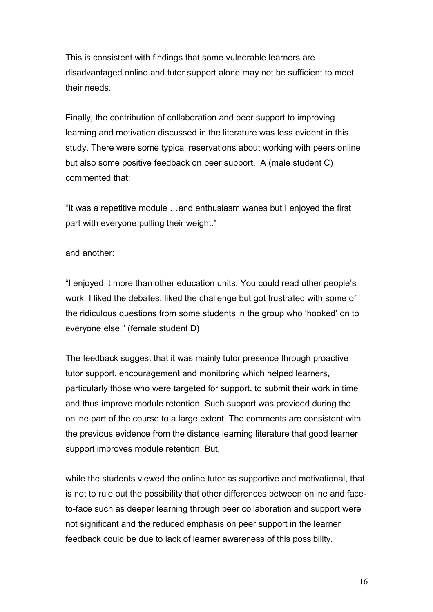This is consistent with findings that some vulnerable learners are disadvantaged online and tutor support alone may not be sufficient to meet their needs.

Finally, the contribution of collaboration and peer support to improving learning and motivation discussed in the literature was less evident in this study. There were some typical reservations about working with peers online but also some positive feedback on peer support. A (male student C) commented that:

"It was a repetitive module …and enthusiasm wanes but I enjoyed the first part with everyone pulling their weight."

and another:

"I enjoyed it more than other education units. You could read other people's work. I liked the debates, liked the challenge but got frustrated with some of the ridiculous questions from some students in the group who 'hooked' on to everyone else." (female student D)

The feedback suggest that it was mainly tutor presence through proactive tutor support, encouragement and monitoring which helped learners, particularly those who were targeted for support, to submit their work in time and thus improve module retention. Such support was provided during the online part of the course to a large extent. The comments are consistent with the previous evidence from the distance learning literature that good learner support improves module retention. But,

while the students viewed the online tutor as supportive and motivational, that is not to rule out the possibility that other differences between online and faceto-face such as deeper learning through peer collaboration and support were not significant and the reduced emphasis on peer support in the learner feedback could be due to lack of learner awareness of this possibility.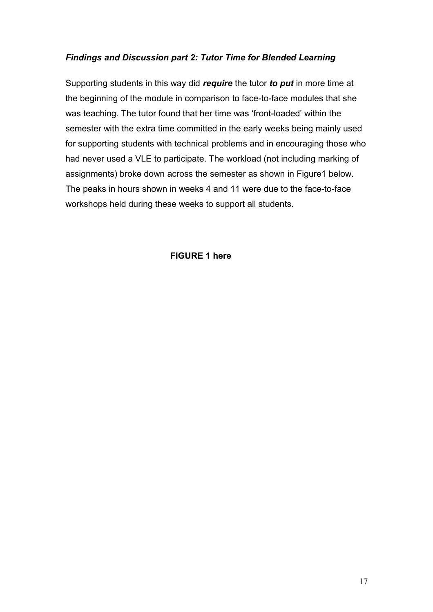# *Findings and Discussion part 2: Tutor Time for Blended Learning*

Supporting students in this way did *require* the tutor *to put* in more time at the beginning of the module in comparison to face-to-face modules that she was teaching. The tutor found that her time was 'front-loaded' within the semester with the extra time committed in the early weeks being mainly used for supporting students with technical problems and in encouraging those who had never used a VLE to participate. The workload (not including marking of assignments) broke down across the semester as shown in Figure1 below. The peaks in hours shown in weeks 4 and 11 were due to the face-to-face workshops held during these weeks to support all students.

# **FIGURE 1 here**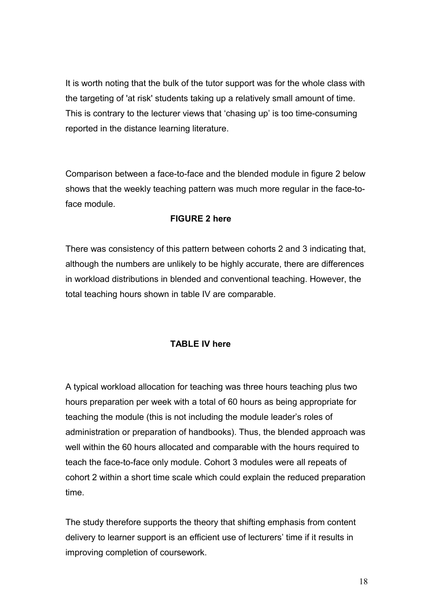It is worth noting that the bulk of the tutor support was for the whole class with the targeting of 'at risk' students taking up a relatively small amount of time. This is contrary to the lecturer views that 'chasing up' is too time-consuming reported in the distance learning literature.

Comparison between a face-to-face and the blended module in figure 2 below shows that the weekly teaching pattern was much more regular in the face-toface module.

## **FIGURE 2 here**

There was consistency of this pattern between cohorts 2 and 3 indicating that, although the numbers are unlikely to be highly accurate, there are differences in workload distributions in blended and conventional teaching. However, the total teaching hours shown in table IV are comparable.

#### **TABLE IV here**

A typical workload allocation for teaching was three hours teaching plus two hours preparation per week with a total of 60 hours as being appropriate for teaching the module (this is not including the module leader's roles of administration or preparation of handbooks). Thus, the blended approach was well within the 60 hours allocated and comparable with the hours required to teach the face-to-face only module. Cohort 3 modules were all repeats of cohort 2 within a short time scale which could explain the reduced preparation time.

The study therefore supports the theory that shifting emphasis from content delivery to learner support is an efficient use of lecturers' time if it results in improving completion of coursework.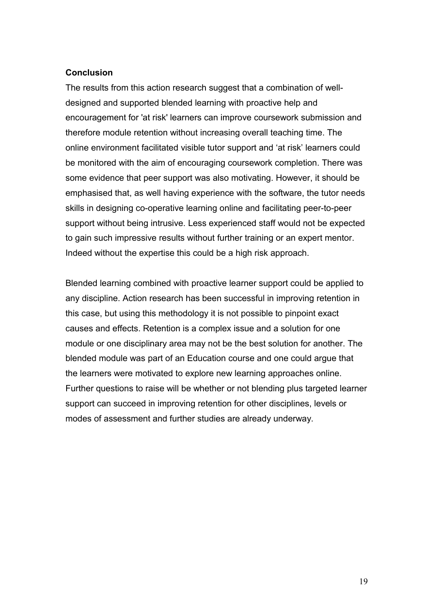### **Conclusion**

The results from this action research suggest that a combination of welldesigned and supported blended learning with proactive help and encouragement for 'at risk' learners can improve coursework submission and therefore module retention without increasing overall teaching time. The online environment facilitated visible tutor support and 'at risk' learners could be monitored with the aim of encouraging coursework completion. There was some evidence that peer support was also motivating. However, it should be emphasised that, as well having experience with the software, the tutor needs skills in designing co-operative learning online and facilitating peer-to-peer support without being intrusive. Less experienced staff would not be expected to gain such impressive results without further training or an expert mentor. Indeed without the expertise this could be a high risk approach.

Blended learning combined with proactive learner support could be applied to any discipline. Action research has been successful in improving retention in this case, but using this methodology it is not possible to pinpoint exact causes and effects. Retention is a complex issue and a solution for one module or one disciplinary area may not be the best solution for another. The blended module was part of an Education course and one could argue that the learners were motivated to explore new learning approaches online. Further questions to raise will be whether or not blending plus targeted learner support can succeed in improving retention for other disciplines, levels or modes of assessment and further studies are already underway.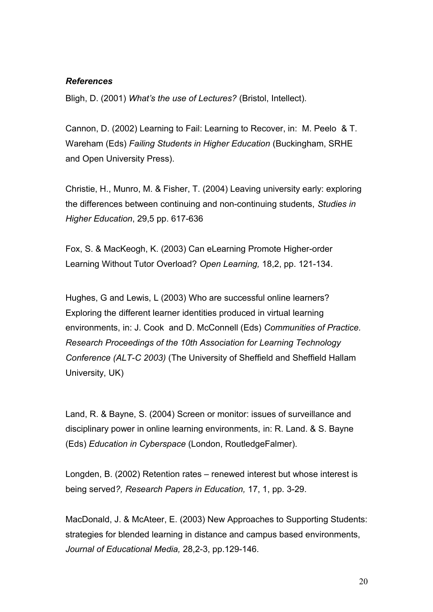### *References*

Bligh, D. (2001) *What's the use of Lectures?* (Bristol, Intellect).

Cannon, D. (2002) Learning to Fail: Learning to Recover, in: M. Peelo & T. Wareham (Eds) *Failing Students in Higher Education* (Buckingham, SRHE and Open University Press).

Christie, H., Munro, M. & Fisher, T. (2004) Leaving university early: exploring the differences between continuing and non-continuing students, *Studies in Higher Education*, 29,5 pp. 617-636

Fox, S. & MacKeogh, K. (2003) Can eLearning Promote Higher-order Learning Without Tutor Overload? *Open Learning,* 18,2, pp. 121-134.

Hughes, G and Lewis, L (2003) Who are successful online learners? Exploring the different learner identities produced in virtual learning environments, in: J. Cook and D. McConnell (Eds) *Communities of Practice. Research Proceedings of the 10th Association for Learning Technology Conference (ALT-C 2003)* (The University of Sheffield and Sheffield Hallam University, UK)

Land, R. & Bayne, S. (2004) Screen or monitor: issues of surveillance and disciplinary power in online learning environments, in: R. Land. & S. Bayne (Eds) *Education in Cyberspace* (London, RoutledgeFalmer).

Longden, B. (2002) Retention rates – renewed interest but whose interest is being served*?, Research Papers in Education,* 17, 1, pp. 3-29.

MacDonald, J. & McAteer, E. (2003) New Approaches to Supporting Students: strategies for blended learning in distance and campus based environments, *Journal of Educational Media,* 28,2-3, pp.129-146.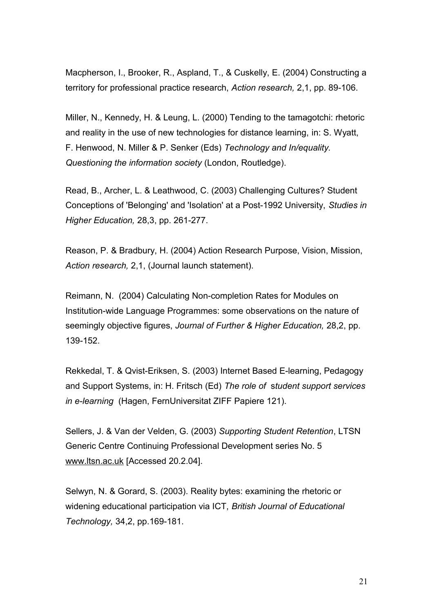Macpherson, I., Brooker, R., Aspland, T., & Cuskelly, E. (2004) Constructing a territory for professional practice research, *Action research,* 2,1, pp. 89-106.

Miller, N., Kennedy, H. & Leung, L. (2000) Tending to the tamagotchi: rhetoric and reality in the use of new technologies for distance learning, in: S. Wyatt, F. Henwood, N. Miller & P. Senker (Eds) *Technology and In/equality. Questioning the information society* (London, Routledge).

Read, B., Archer, L. & Leathwood, C. (2003) Challenging Cultures? Student Conceptions of 'Belonging' and 'Isolation' at a Post-1992 University, *Studies in Higher Education,* 28,3, pp. 261-277.

Reason, P. & Bradbury, H. (2004) Action Research Purpose, Vision, Mission, *Action research,* 2,1, (Journal launch statement).

Reimann, N. (2004) Calculating Non-completion Rates for Modules on Institution-wide Language Programmes: some observations on the nature of seemingly objective figures, *Journal of Further & Higher Education,* 28,2, pp. 139-152.

Rekkedal, T. & Qvist-Eriksen, S. (2003) Internet Based E-learning, Pedagogy and Support Systems, in: H. Fritsch (Ed) *The role of* s*tudent support services in e-learning* (Hagen, FernUniversitat ZIFF Papiere 121).

Sellers, J. & Van der Velden, G. (2003) *Supporting Student Retention*, LTSN Generic Centre Continuing Professional Development series No. 5 [www.ltsn.ac.uk](http://www.ltsn.ac.uk/) [Accessed 20.2.04].

Selwyn, N. & Gorard, S. (2003). Reality bytes: examining the rhetoric or widening educational participation via ICT, *British Journal of Educational Technology,* 34,2, pp.169-181.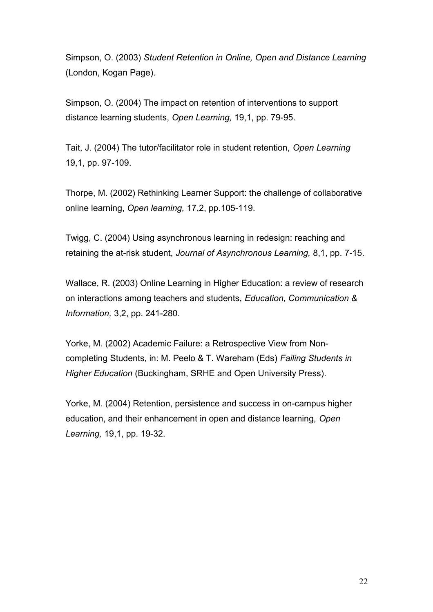Simpson, O. (2003) *Student Retention in Online, Open and Distance Learning* (London, Kogan Page).

Simpson, O. (2004) The impact on retention of interventions to support distance learning students, *Open Learning,* 19,1, pp. 79-95.

Tait, J. (2004) The tutor/facilitator role in student retention, *Open Learning* 19,1, pp. 97-109.

Thorpe, M. (2002) Rethinking Learner Support: the challenge of collaborative online learning, *Open learning,* 17,2, pp.105-119.

Twigg, C. (2004) Using asynchronous learning in redesign: reaching and retaining the at-risk student, *Journal of Asynchronous Learning,* 8,1, pp. 7-15.

Wallace, R. (2003) Online Learning in Higher Education: a review of research on interactions among teachers and students, *Education, Communication & Information,* 3,2, pp. 241-280.

Yorke, M. (2002) Academic Failure: a Retrospective View from Noncompleting Students, in: M. Peelo & T. Wareham (Eds) *Failing Students in Higher Education* (Buckingham, SRHE and Open University Press).

Yorke, M. (2004) Retention, persistence and success in on-campus higher education, and their enhancement in open and distance learning, *Open Learning,* 19,1, pp. 19-32.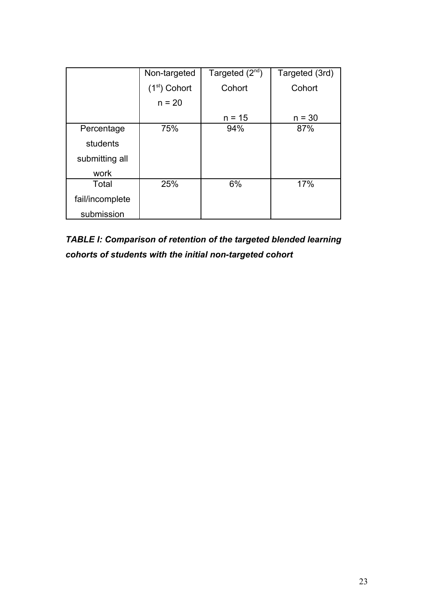|                 | Non-targeted   | Targeted $(2^{nd})$ | Targeted (3rd) |
|-----------------|----------------|---------------------|----------------|
|                 | $(1st)$ Cohort | Cohort              | Cohort         |
|                 | $n = 20$       |                     |                |
|                 |                | $n = 15$            | $n = 30$       |
| Percentage      | 75%            | 94%                 | 87%            |
| students        |                |                     |                |
| submitting all  |                |                     |                |
| work            |                |                     |                |
| Total           | 25%            | 6%                  | 17%            |
| fail/incomplete |                |                     |                |
| submission      |                |                     |                |

*TABLE I: Comparison of retention of the targeted blended learning cohorts of students with the initial non-targeted cohort*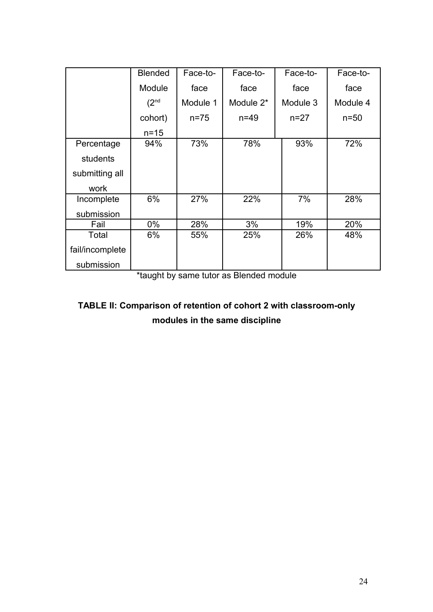|                 | <b>Blended</b>   | Face-to- | Face-to-  | Face-to- | Face-to- |
|-----------------|------------------|----------|-----------|----------|----------|
|                 | Module           | face     | face      | face     | face     |
|                 | (2 <sup>nd</sup> | Module 1 | Module 2* | Module 3 | Module 4 |
|                 | cohort)          | $n = 75$ | $n=49$    | $n = 27$ | $n=50$   |
|                 | $n = 15$         |          |           |          |          |
| Percentage      | 94%              | 73%      | 78%       | 93%      | 72%      |
| students        |                  |          |           |          |          |
| submitting all  |                  |          |           |          |          |
| work            |                  |          |           |          |          |
| Incomplete      | 6%               | 27%      | 22%       | 7%       | 28%      |
| submission      |                  |          |           |          |          |
| Fail            | $0\%$            | 28%      | 3%        | 19%      | 20%      |
| Total           | 6%               | 55%      | 25%       | 26%      | 48%      |
| fail/incomplete |                  |          |           |          |          |
| submission      |                  |          |           |          |          |

\*taught by same tutor as Blended module

# **TABLE II: Comparison of retention of cohort 2 with classroom-only modules in the same discipline**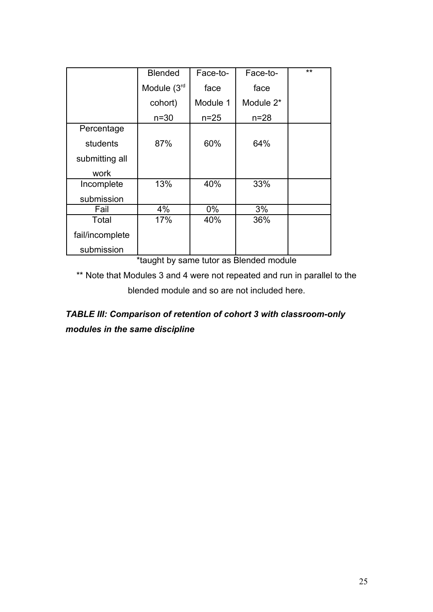|                 | <b>Blended</b> | Face-to- | Face-to-  | $**$ |
|-----------------|----------------|----------|-----------|------|
|                 | Module $(3rd$  | face     | face      |      |
|                 | cohort)        | Module 1 | Module 2* |      |
|                 | $n = 30$       | $n = 25$ | $n = 28$  |      |
| Percentage      |                |          |           |      |
| students        | 87%            | 60%      | 64%       |      |
| submitting all  |                |          |           |      |
| work            |                |          |           |      |
| Incomplete      | 13%            | 40%      | 33%       |      |
| submission      |                |          |           |      |
| Fail            | 4%             | $0\%$    | 3%        |      |
| Total           | 17%            | 40%      | 36%       |      |
| fail/incomplete |                |          |           |      |
| submission      |                |          |           |      |

\*taught by same tutor as Blended module

\*\* Note that Modules 3 and 4 were not repeated and run in parallel to the blended module and so are not included here.

*TABLE III: Comparison of retention of cohort 3 with classroom-only modules in the same discipline*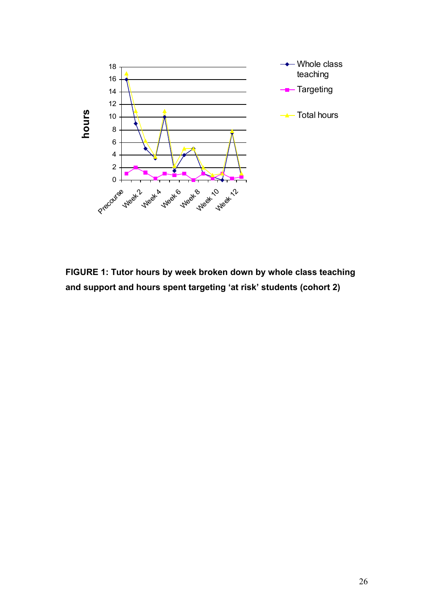

**FIGURE 1: Tutor hours by week broken down by whole class teaching and support and hours spent targeting 'at risk' students (cohort 2)**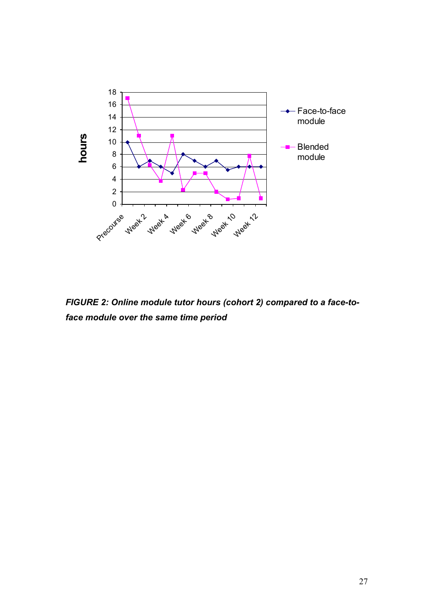

*FIGURE 2: Online module tutor hours (cohort 2) compared to a face-toface module over the same time period*